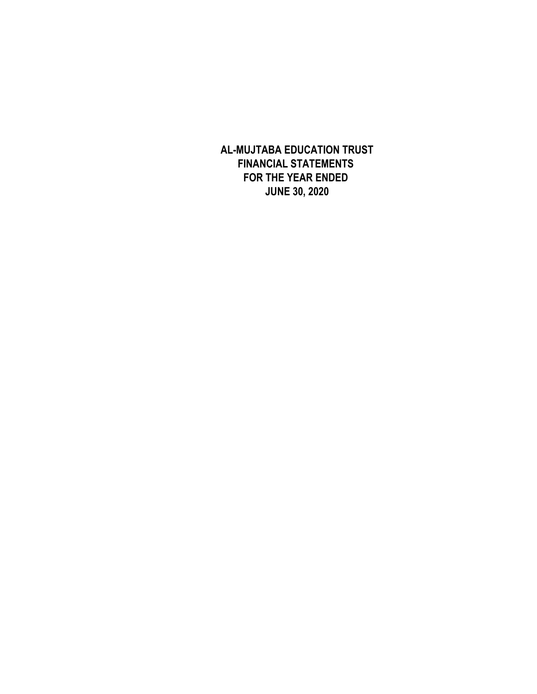**AL-MUJTABA EDUCATION TRUST FINANCIAL STATEMENTS FOR THE YEAR ENDED JUNE 30, 2020**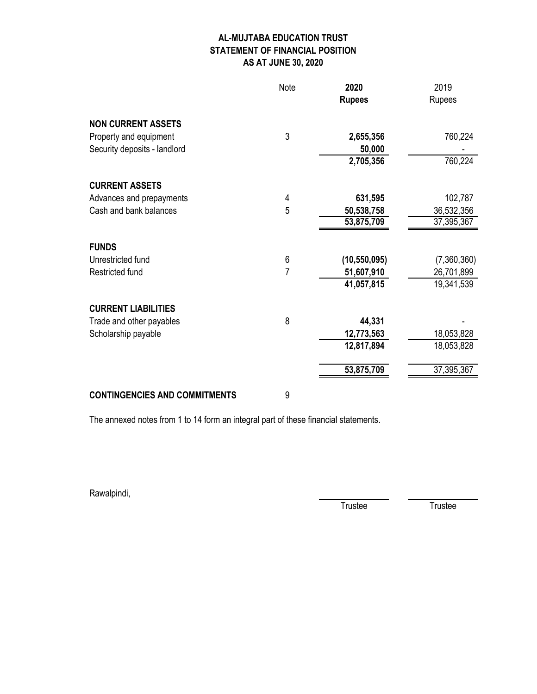# **AL-MUJTABA EDUCATION TRUST STATEMENT OF FINANCIAL POSITION AS AT JUNE 30, 2020**

|                              | Note | 2020<br><b>Rupees</b> | 2019<br>Rupees |
|------------------------------|------|-----------------------|----------------|
| <b>NON CURRENT ASSETS</b>    |      |                       |                |
| Property and equipment       | 3    | 2,655,356             | 760,224        |
| Security deposits - landlord |      | 50,000                |                |
|                              |      | 2,705,356             | 760,224        |
| <b>CURRENT ASSETS</b>        |      |                       |                |
| Advances and prepayments     | 4    | 631,595               | 102,787        |
| Cash and bank balances       | 5    | 50,538,758            | 36,532,356     |
|                              |      | 53,875,709            | 37,395,367     |
| <b>FUNDS</b>                 |      |                       |                |
| Unrestricted fund            | 6    | (10, 550, 095)        | (7,360,360)    |
| Restricted fund              | 7    | 51,607,910            | 26,701,899     |
|                              |      | 41,057,815            | 19,341,539     |
| <b>CURRENT LIABILITIES</b>   |      |                       |                |
| Trade and other payables     | 8    | 44,331                |                |
| Scholarship payable          |      | 12,773,563            | 18,053,828     |
|                              |      | 12,817,894            | 18,053,828     |
|                              |      | 53,875,709            | 37,395,367     |
|                              |      |                       |                |

### **CONTINGENCIES AND COMMITMENTS** 9

The annexed notes from 1 to 14 form an integral part of these financial statements.

Rawalpindi,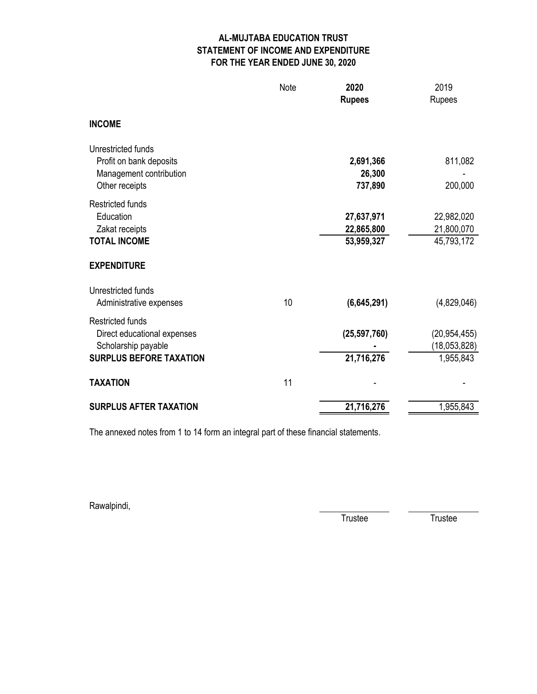# **AL-MUJTABA EDUCATION TRUST STATEMENT OF INCOME AND EXPENDITURE FOR THE YEAR ENDED JUNE 30, 2020**

|                                                                                                                 | Note | 2020<br><b>Rupees</b>                  | 2019<br>Rupees                              |
|-----------------------------------------------------------------------------------------------------------------|------|----------------------------------------|---------------------------------------------|
| <b>INCOME</b>                                                                                                   |      |                                        |                                             |
| Unrestricted funds<br>Profit on bank deposits<br>Management contribution<br>Other receipts                      |      | 2,691,366<br>26,300<br>737,890         | 811,082<br>200,000                          |
| <b>Restricted funds</b><br>Education<br>Zakat receipts<br><b>TOTAL INCOME</b><br><b>EXPENDITURE</b>             |      | 27,637,971<br>22,865,800<br>53,959,327 | 22,982,020<br>21,800,070<br>45,793,172      |
| Unrestricted funds<br>Administrative expenses                                                                   | 10   | (6,645,291)                            | (4,829,046)                                 |
| <b>Restricted funds</b><br>Direct educational expenses<br>Scholarship payable<br><b>SURPLUS BEFORE TAXATION</b> |      | (25, 597, 760)<br>21,716,276           | (20, 954, 455)<br>(18,053,828)<br>1,955,843 |
| <b>TAXATION</b>                                                                                                 | 11   |                                        |                                             |
| <b>SURPLUS AFTER TAXATION</b>                                                                                   |      | 21,716,276                             | 1,955,843                                   |

The annexed notes from 1 to 14 form an integral part of these financial statements.

Rawalpindi,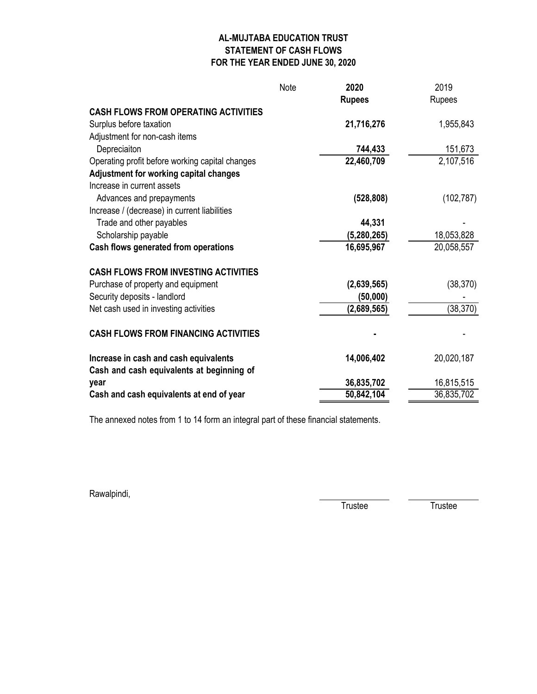# **AL-MUJTABA EDUCATION TRUST STATEMENT OF CASH FLOWS FOR THE YEAR ENDED JUNE 30, 2020**

|                                                                                    | Note | 2020          | 2019       |
|------------------------------------------------------------------------------------|------|---------------|------------|
|                                                                                    |      | <b>Rupees</b> | Rupees     |
| <b>CASH FLOWS FROM OPERATING ACTIVITIES</b>                                        |      |               |            |
| Surplus before taxation                                                            |      | 21,716,276    | 1,955,843  |
| Adjustment for non-cash items                                                      |      |               |            |
| Depreciaiton                                                                       |      | 744,433       | 151,673    |
| Operating profit before working capital changes                                    |      | 22,460,709    | 2,107,516  |
| Adjustment for working capital changes                                             |      |               |            |
| Increase in current assets                                                         |      |               |            |
| Advances and prepayments                                                           |      | (528, 808)    | (102, 787) |
| Increase / (decrease) in current liabilities                                       |      |               |            |
| Trade and other payables                                                           |      | 44,331        |            |
| Scholarship payable                                                                |      | (5,280,265)   | 18,053,828 |
| Cash flows generated from operations                                               |      | 16,695,967    | 20,058,557 |
| <b>CASH FLOWS FROM INVESTING ACTIVITIES</b>                                        |      |               |            |
| Purchase of property and equipment                                                 |      | (2,639,565)   | (38, 370)  |
| Security deposits - landlord                                                       |      | (50,000)      |            |
| Net cash used in investing activities                                              |      | (2,689,565)   | (38, 370)  |
| <b>CASH FLOWS FROM FINANCING ACTIVITIES</b>                                        |      |               |            |
| Increase in cash and cash equivalents<br>Cash and cash equivalents at beginning of |      | 14,006,402    | 20,020,187 |
| year                                                                               |      | 36,835,702    | 16,815,515 |
| Cash and cash equivalents at end of year                                           |      | 50,842,104    | 36,835,702 |
|                                                                                    |      |               |            |

The annexed notes from 1 to 14 form an integral part of these financial statements.

Rawalpindi,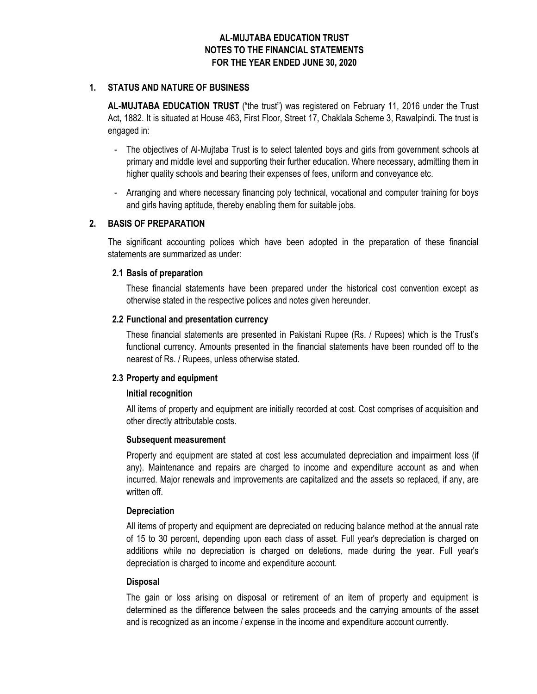# **AL-MUJTABA EDUCATION TRUST NOTES TO THE FINANCIAL STATEMENTS FOR THE YEAR ENDED JUNE 30, 2020**

### **1. STATUS AND NATURE OF BUSINESS**

**AL-MUJTABA EDUCATION TRUST** ("the trust") was registered on February 11, 2016 under the Trust Act, 1882. It is situated at House 463, First Floor, Street 17, Chaklala Scheme 3, Rawalpindi. The trust is engaged in:

- The objectives of Al-Mujtaba Trust is to select talented boys and girls from government schools at primary and middle level and supporting their further education. Where necessary, admitting them in higher quality schools and bearing their expenses of fees, uniform and conveyance etc.
- Arranging and where necessary financing poly technical, vocational and computer training for boys and girls having aptitude, thereby enabling them for suitable jobs.

#### **2. BASIS OF PREPARATION**

The significant accounting polices which have been adopted in the preparation of these financial statements are summarized as under:

#### **Basis of preparation 2.1**

These financial statements have been prepared under the historical cost convention except as otherwise stated in the respective polices and notes given hereunder.

#### **Functional and presentation currency 2.2**

These financial statements are presented in Pakistani Rupee (Rs. / Rupees) which is the Trust's functional currency. Amounts presented in the financial statements have been rounded off to the nearest of Rs. / Rupees, unless otherwise stated.

#### **Property and equipment 2.3**

#### **Initial recognition**

All items of property and equipment are initially recorded at cost. Cost comprises of acquisition and other directly attributable costs.

#### **Subsequent measurement**

Property and equipment are stated at cost less accumulated depreciation and impairment loss (if any). Maintenance and repairs are charged to income and expenditure account as and when incurred. Major renewals and improvements are capitalized and the assets so replaced, if any, are written off.

#### **Depreciation**

All items of property and equipment are depreciated on reducing balance method at the annual rate of 15 to 30 percent, depending upon each class of asset. Full year's depreciation is charged on additions while no depreciation is charged on deletions, made during the year. Full year's depreciation is charged to income and expenditure account.

#### **Disposal**

The gain or loss arising on disposal or retirement of an item of property and equipment is determined as the difference between the sales proceeds and the carrying amounts of the asset and is recognized as an income / expense in the income and expenditure account currently.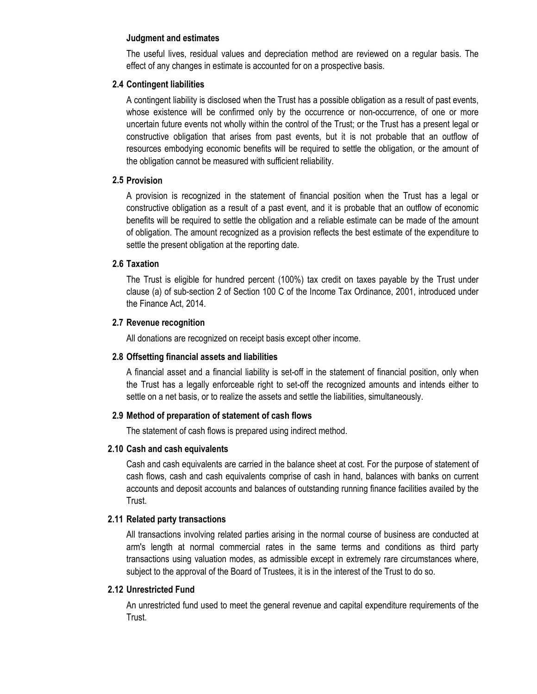#### **Judgment and estimates**

The useful lives, residual values and depreciation method are reviewed on a regular basis. The effect of any changes in estimate is accounted for on a prospective basis.

### **2.4 Contingent liabilities**

A contingent liability is disclosed when the Trust has a possible obligation as a result of past events, whose existence will be confirmed only by the occurrence or non-occurrence, of one or more uncertain future events not wholly within the control of the Trust; or the Trust has a present legal or constructive obligation that arises from past events, but it is not probable that an outflow of resources embodying economic benefits will be required to settle the obligation, or the amount of the obligation cannot be measured with sufficient reliability.

## **2.5 Provision**

A provision is recognized in the statement of financial position when the Trust has a legal or constructive obligation as a result of a past event, and it is probable that an outflow of economic benefits will be required to settle the obligation and a reliable estimate can be made of the amount of obligation. The amount recognized as a provision reflects the best estimate of the expenditure to settle the present obligation at the reporting date.

## **2.6 Taxation**

The Trust is eligible for hundred percent (100%) tax credit on taxes payable by the Trust under clause (a) of sub-section 2 of Section 100 C of the Income Tax Ordinance, 2001, introduced under the Finance Act, 2014.

## **Revenue recognition 2.7**

All donations are recognized on receipt basis except other income.

## **Offsetting financial assets and liabilities 2.8**

A financial asset and a financial liability is set-off in the statement of financial position, only when the Trust has a legally enforceable right to set-off the recognized amounts and intends either to settle on a net basis, or to realize the assets and settle the liabilities, simultaneously.

### **Method of preparation of statement of cash flows 2.9**

The statement of cash flows is prepared using indirect method.

#### **Cash and cash equivalents 2.10**

Cash and cash equivalents are carried in the balance sheet at cost. For the purpose of statement of cash flows, cash and cash equivalents comprise of cash in hand, balances with banks on current accounts and deposit accounts and balances of outstanding running finance facilities availed by the Trust.

#### **Related party transactions 2.11**

All transactions involving related parties arising in the normal course of business are conducted at arm's length at normal commercial rates in the same terms and conditions as third party transactions using valuation modes, as admissible except in extremely rare circumstances where, subject to the approval of the Board of Trustees, it is in the interest of the Trust to do so.

## **Unrestricted Fund 2.12**

An unrestricted fund used to meet the general revenue and capital expenditure requirements of the Trust.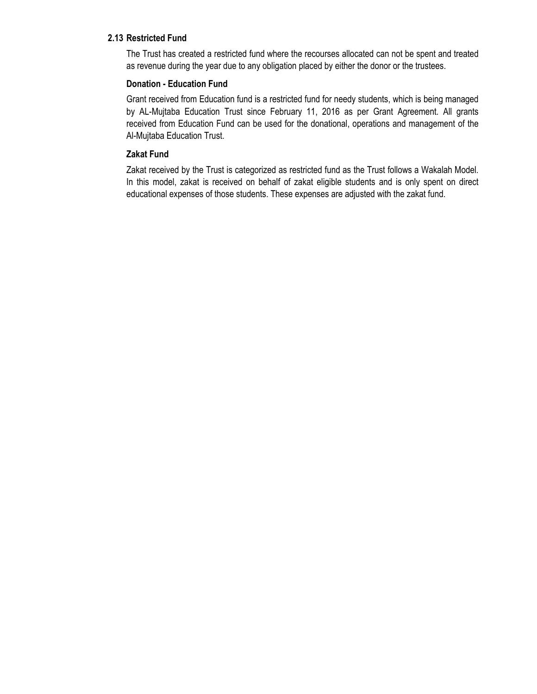## **Restricted Fund 2.13**

The Trust has created a restricted fund where the recourses allocated can not be spent and treated as revenue during the year due to any obligation placed by either the donor or the trustees.

### **Donation - Education Fund**

Grant received from Education fund is a restricted fund for needy students, which is being managed by AL-Mujtaba Education Trust since February 11, 2016 as per Grant Agreement. All grants received from Education Fund can be used for the donational, operations and management of the Al-Mujtaba Education Trust.

## **Zakat Fund**

Zakat received by the Trust is categorized as restricted fund as the Trust follows a Wakalah Model. In this model, zakat is received on behalf of zakat eligible students and is only spent on direct educational expenses of those students. These expenses are adjusted with the zakat fund.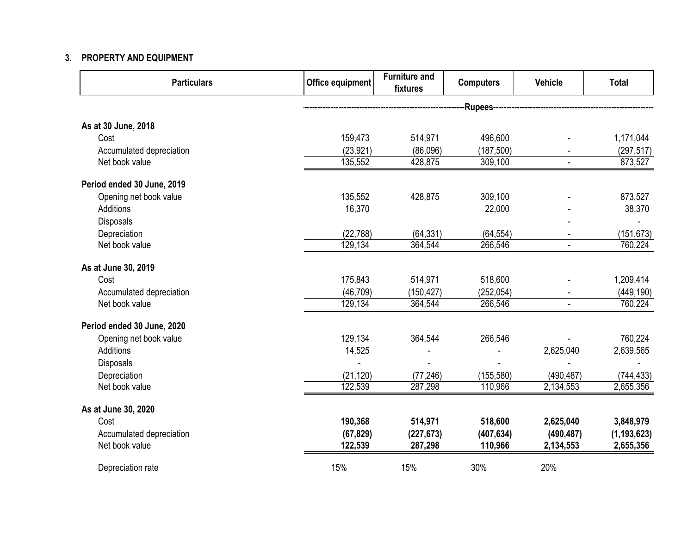# **3. PROPERTY AND EQUIPMENT**

| <b>Particulars</b>         | Office equipment | <b>Furniture and</b><br>fixtures | <b>Computers</b>         | <b>Vehicle</b> | <b>Total</b>  |
|----------------------------|------------------|----------------------------------|--------------------------|----------------|---------------|
|                            |                  |                                  | --Rupees---------------- |                |               |
| As at 30 June, 2018        |                  |                                  |                          |                |               |
| Cost                       | 159,473          | 514,971                          | 496,600                  |                | 1,171,044     |
| Accumulated depreciation   | (23, 921)        | (86,096)                         | (187, 500)               |                | (297, 517)    |
| Net book value             | 135,552          | 428,875                          | 309,100                  |                | 873,527       |
| Period ended 30 June, 2019 |                  |                                  |                          |                |               |
| Opening net book value     | 135,552          | 428,875                          | 309,100                  |                | 873,527       |
| Additions                  | 16,370           |                                  | 22,000                   |                | 38,370        |
| Disposals                  |                  |                                  |                          |                |               |
| Depreciation               | (22, 788)        | (64, 331)                        | (64, 554)                |                | (151, 673)    |
| Net book value             | 129,134          | 364,544                          | 266,546                  | $\overline{a}$ | 760,224       |
| As at June 30, 2019        |                  |                                  |                          |                |               |
| Cost                       | 175,843          | 514,971                          | 518,600                  |                | 1,209,414     |
| Accumulated depreciation   | (46, 709)        | (150, 427)                       | (252, 054)               |                | (449, 190)    |
| Net book value             | 129,134          | 364,544                          | 266,546                  | $\blacksquare$ | 760,224       |
| Period ended 30 June, 2020 |                  |                                  |                          |                |               |
| Opening net book value     | 129,134          | 364,544                          | 266,546                  |                | 760,224       |
| Additions                  | 14,525           |                                  |                          | 2,625,040      | 2,639,565     |
| <b>Disposals</b>           |                  |                                  |                          |                |               |
| Depreciation               | (21, 120)        | (77, 246)                        | (155, 580)               | (490, 487)     | (744, 433)    |
| Net book value             | 122,539          | 287,298                          | 110,966                  | 2,134,553      | 2,655,356     |
| As at June 30, 2020        |                  |                                  |                          |                |               |
| Cost                       | 190,368          | 514,971                          | 518,600                  | 2,625,040      | 3,848,979     |
| Accumulated depreciation   | (67, 829)        | (227, 673)                       | (407, 634)               | (490, 487)     | (1, 193, 623) |
| Net book value             | 122,539          | 287,298                          | 110,966                  | 2,134,553      | 2,655,356     |
| Depreciation rate          | 15%              | 15%                              | 30%                      | 20%            |               |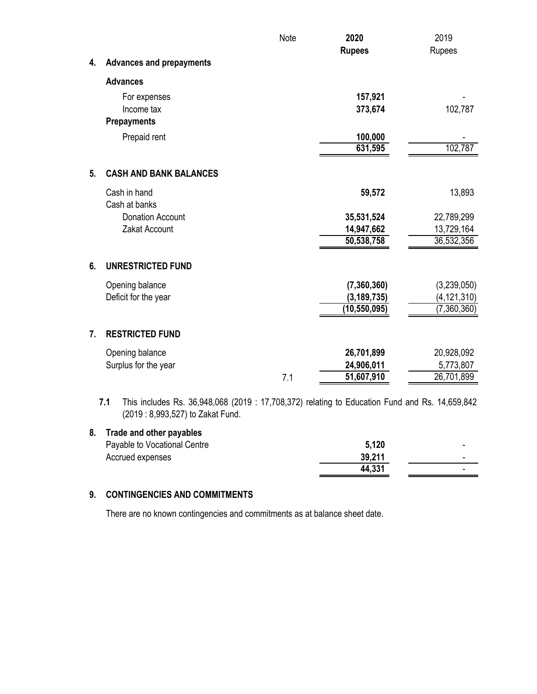|                |                                                                                                                                          | Note | 2020           | 2019          |
|----------------|------------------------------------------------------------------------------------------------------------------------------------------|------|----------------|---------------|
|                |                                                                                                                                          |      | <b>Rupees</b>  | Rupees        |
| 4.             | <b>Advances and prepayments</b>                                                                                                          |      |                |               |
|                | <b>Advances</b>                                                                                                                          |      |                |               |
|                | For expenses                                                                                                                             |      | 157,921        |               |
|                | Income tax                                                                                                                               |      | 373,674        | 102,787       |
|                | <b>Prepayments</b>                                                                                                                       |      |                |               |
|                | Prepaid rent                                                                                                                             |      | 100,000        |               |
|                |                                                                                                                                          |      | 631,595        | 102,787       |
| 5 <sub>1</sub> | <b>CASH AND BANK BALANCES</b>                                                                                                            |      |                |               |
|                | Cash in hand<br>Cash at banks                                                                                                            |      | 59,572         | 13,893        |
|                | <b>Donation Account</b>                                                                                                                  |      | 35,531,524     | 22,789,299    |
|                | Zakat Account                                                                                                                            |      | 14,947,662     | 13,729,164    |
|                |                                                                                                                                          |      | 50,538,758     | 36,532,356    |
| 6.             | <b>UNRESTRICTED FUND</b>                                                                                                                 |      |                |               |
|                | Opening balance                                                                                                                          |      | (7,360,360)    | (3,239,050)   |
|                | Deficit for the year                                                                                                                     |      | (3, 189, 735)  | (4, 121, 310) |
|                |                                                                                                                                          |      | (10, 550, 095) | (7,360,360)   |
| 7.             | <b>RESTRICTED FUND</b>                                                                                                                   |      |                |               |
|                | Opening balance                                                                                                                          |      | 26,701,899     | 20,928,092    |
|                | Surplus for the year                                                                                                                     |      | 24,906,011     | 5,773,807     |
|                |                                                                                                                                          | 7.1  | 51,607,910     | 26,701,899    |
|                | 7.1<br>This includes Rs. 36,948,068 (2019: 17,708,372) relating to Education Fund and Rs. 14,659,842<br>(2019: 8,993,527) to Zakat Fund. |      |                |               |

# **8. Trade and other payables**

| Payable to Vocational Centre | 5,120  | - |
|------------------------------|--------|---|
| Accrued expenses             | 39,211 | - |
|                              | 44,331 | - |

# **9. CONTINGENCIES AND COMMITMENTS**

There are no known contingencies and commitments as at balance sheet date.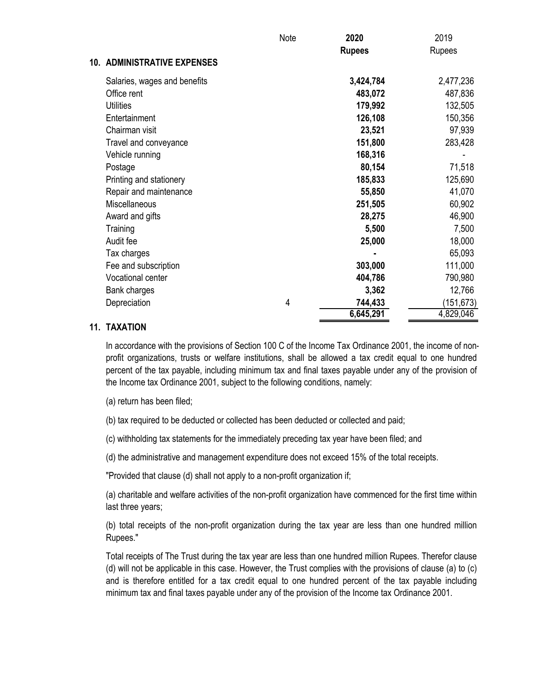|                      |                                    | Note | 2020<br><b>Rupees</b> | 2019<br>Rupees |
|----------------------|------------------------------------|------|-----------------------|----------------|
|                      | <b>10. ADMINISTRATIVE EXPENSES</b> |      |                       |                |
|                      | Salaries, wages and benefits       |      | 3,424,784             | 2,477,236      |
| Office rent          |                                    |      | 483,072               | 487,836        |
| <b>Utilities</b>     |                                    |      | 179,992               | 132,505        |
| Entertainment        |                                    |      | 126,108               | 150,356        |
| Chairman visit       |                                    |      | 23,521                | 97,939         |
|                      | Travel and conveyance              |      | 151,800               | 283,428        |
| Vehicle running      |                                    |      | 168,316               |                |
| Postage              |                                    |      | 80,154                | 71,518         |
|                      | Printing and stationery            |      | 185,833               | 125,690        |
|                      | Repair and maintenance             |      | 55,850                | 41,070         |
| <b>Miscellaneous</b> |                                    |      | 251,505               | 60,902         |
| Award and gifts      |                                    |      | 28,275                | 46,900         |
| Training             |                                    |      | 5,500                 | 7,500          |
| Audit fee            |                                    |      | 25,000                | 18,000         |
| Tax charges          |                                    |      |                       | 65,093         |
| Fee and subscription |                                    |      | 303,000               | 111,000        |
| Vocational center    |                                    |      | 404,786               | 790,980        |
| Bank charges         |                                    |      | 3,362                 | 12,766         |
| Depreciation         |                                    | 4    | 744,433               | (151, 673)     |
|                      |                                    |      | 6,645,291             | 4,829,046      |

#### **11. TAXATION**

In accordance with the provisions of Section 100 C of the Income Tax Ordinance 2001, the income of nonprofit organizations, trusts or welfare institutions, shall be allowed a tax credit equal to one hundred percent of the tax payable, including minimum tax and final taxes payable under any of the provision of the Income tax Ordinance 2001, subject to the following conditions, namely:

(a) return has been filed;

(b) tax required to be deducted or collected has been deducted or collected and paid;

(c) withholding tax statements for the immediately preceding tax year have been filed; and

(d) the administrative and management expenditure does not exceed 15% of the total receipts.

"Provided that clause (d) shall not apply to a non-profit organization if;

(a) charitable and welfare activities of the non-profit organization have commenced for the first time within last three years;

(b) total receipts of the non-profit organization during the tax year are less than one hundred million Rupees."

Total receipts of The Trust during the tax year are less than one hundred million Rupees. Therefor clause (d) will not be applicable in this case. However, the Trust complies with the provisions of clause (a) to (c) and is therefore entitled for a tax credit equal to one hundred percent of the tax payable including minimum tax and final taxes payable under any of the provision of the Income tax Ordinance 2001.